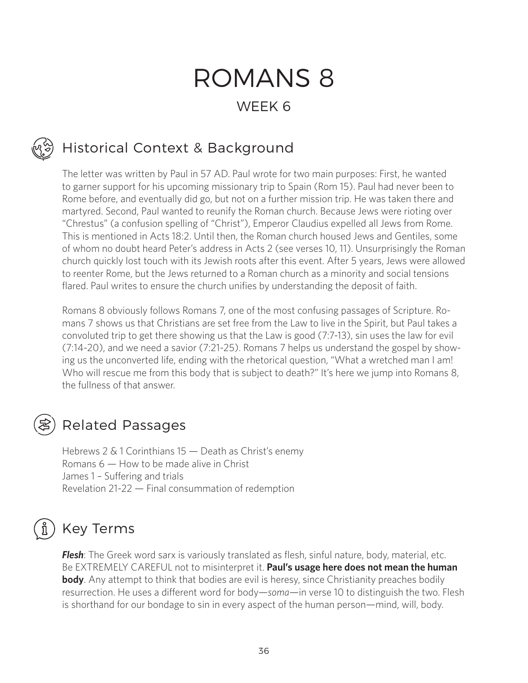# ROMANS 8 WEEK 6

### Historical Context & Background

The letter was written by Paul in 57 AD. Paul wrote for two main purposes: First, he wanted to garner support for his upcoming missionary trip to Spain (Rom 15). Paul had never been to Rome before, and eventually did go, but not on a further mission trip. He was taken there and martyred. Second, Paul wanted to reunify the Roman church. Because Jews were rioting over "Chrestus" (a confusion spelling of "Christ"), Emperor Claudius expelled all Jews from Rome. This is mentioned in Acts 18:2. Until then, the Roman church housed Jews and Gentiles, some of whom no doubt heard Peter's address in Acts 2 (see verses 10, 11). Unsurprisingly the Roman church quickly lost touch with its Jewish roots after this event. After 5 years, Jews were allowed to reenter Rome, but the Jews returned to a Roman church as a minority and social tensions flared. Paul writes to ensure the church unifies by understanding the deposit of faith.

Romans 8 obviously follows Romans 7, one of the most confusing passages of Scripture. Romans 7 shows us that Christians are set free from the Law to live in the Spirit, but Paul takes a convoluted trip to get there showing us that the Law is good (7:7-13), sin uses the law for evil (7:14-20), and we need a savior (7:21-25). Romans 7 helps us understand the gospel by showing us the unconverted life, ending with the rhetorical question, "What a wretched man I am! Who will rescue me from this body that is subject to death?" It's here we jump into Romans 8, the fullness of that answer.

#### Related Passages

Hebrews 2 & 1 Corinthians 15 — Death as Christ's enemy Romans 6 — How to be made alive in Christ James 1 – Suffering and trials Revelation 21-22 — Final consummation of redemption

#### Key Terms

*Flesh*: The Greek word sarx is variously translated as flesh, sinful nature, body, material, etc. Be EXTREMELY CAREFUL not to misinterpret it. **Paul's usage here does not mean the human body**. Any attempt to think that bodies are evil is heresy, since Christianity preaches bodily resurrection. He uses a different word for body—*soma*—in verse 10 to distinguish the two. Flesh is shorthand for our bondage to sin in every aspect of the human person—mind, will, body.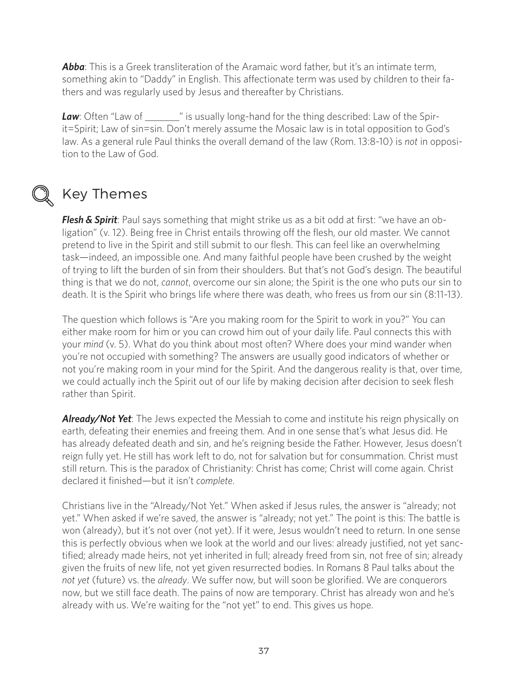Abba: This is a Greek transliteration of the Aramaic word father, but it's an intimate term, something akin to "Daddy" in English. This affectionate term was used by children to their fathers and was regularly used by Jesus and thereafter by Christians.

**Law**: Often "Law of \_\_\_\_\_\_\_" is usually long-hand for the thing described: Law of the Spirit=Spirit; Law of sin=sin. Don't merely assume the Mosaic law is in total opposition to God's law. As a general rule Paul thinks the overall demand of the law (Rom. 13:8-10) is *not* in opposition to the Law of God.



#### Key Themes

*Flesh & Spirit*: Paul says something that might strike us as a bit odd at first: "we have an obligation" (v. 12). Being free in Christ entails throwing off the flesh, our old master. We cannot pretend to live in the Spirit and still submit to our flesh. This can feel like an overwhelming task—indeed, an impossible one. And many faithful people have been crushed by the weight of trying to lift the burden of sin from their shoulders. But that's not God's design. The beautiful thing is that we do not, *cannot*, overcome our sin alone; the Spirit is the one who puts our sin to death. It is the Spirit who brings life where there was death, who frees us from our sin (8:11-13).

The question which follows is "Are you making room for the Spirit to work in you?" You can either make room for him or you can crowd him out of your daily life. Paul connects this with your *mind* (v. 5). What do you think about most often? Where does your mind wander when you're not occupied with something? The answers are usually good indicators of whether or not you're making room in your mind for the Spirit. And the dangerous reality is that, over time, we could actually inch the Spirit out of our life by making decision after decision to seek flesh rather than Spirit.

*Already/Not Yet*: The Jews expected the Messiah to come and institute his reign physically on earth, defeating their enemies and freeing them. And in one sense that's what Jesus did. He has already defeated death and sin, and he's reigning beside the Father. However, Jesus doesn't reign fully yet. He still has work left to do, not for salvation but for consummation. Christ must still return. This is the paradox of Christianity: Christ has come; Christ will come again. Christ declared it finished—but it isn't *complete*.

Christians live in the "Already/Not Yet." When asked if Jesus rules, the answer is "already; not yet." When asked if we're saved, the answer is "already; not yet." The point is this: The battle is won (already), but it's not over (not yet). If it were, Jesus wouldn't need to return. In one sense this is perfectly obvious when we look at the world and our lives: already justified, not yet sanctified; already made heirs, not yet inherited in full; already freed from sin, not free of sin; already given the fruits of new life, not yet given resurrected bodies. In Romans 8 Paul talks about the *not yet* (future) vs. the *already*. We suffer now, but will soon be glorified. We are conquerors now, but we still face death. The pains of now are temporary. Christ has already won and he's already with us. We're waiting for the "not yet" to end. This gives us hope.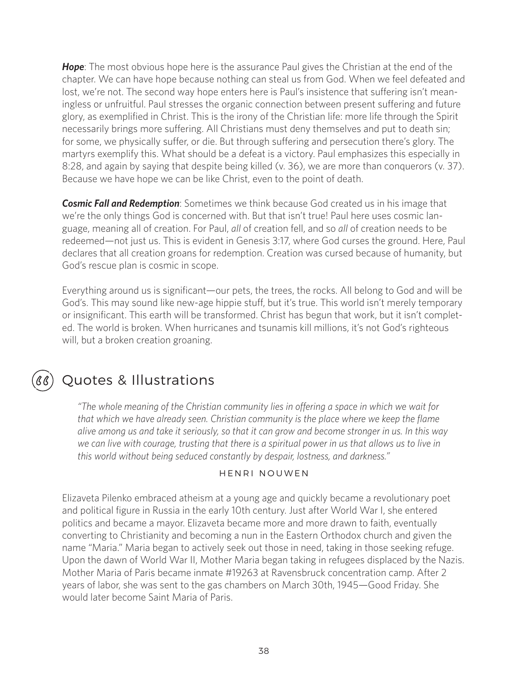*Hope*: The most obvious hope here is the assurance Paul gives the Christian at the end of the chapter. We can have hope because nothing can steal us from God. When we feel defeated and lost, we're not. The second way hope enters here is Paul's insistence that suffering isn't meaningless or unfruitful. Paul stresses the organic connection between present suffering and future glory, as exemplified in Christ. This is the irony of the Christian life: more life through the Spirit necessarily brings more suffering. All Christians must deny themselves and put to death sin; for some, we physically suffer, or die. But through suffering and persecution there's glory. The martyrs exemplify this. What should be a defeat is a victory. Paul emphasizes this especially in 8:28, and again by saying that despite being killed (v. 36), we are more than conquerors (v. 37). Because we have hope we can be like Christ, even to the point of death.

*Cosmic Fall and Redemption*: Sometimes we think because God created us in his image that we're the only things God is concerned with. But that isn't true! Paul here uses cosmic language, meaning all of creation. For Paul, *all* of creation fell, and so *all* of creation needs to be redeemed—not just us. This is evident in Genesis 3:17, where God curses the ground. Here, Paul declares that all creation groans for redemption. Creation was cursed because of humanity, but God's rescue plan is cosmic in scope.

Everything around us is significant—our pets, the trees, the rocks. All belong to God and will be God's. This may sound like new-age hippie stuff, but it's true. This world isn't merely temporary or insignificant. This earth will be transformed. Christ has begun that work, but it isn't completed. The world is broken. When hurricanes and tsunamis kill millions, it's not God's righteous will, but a broken creation groaning.

#### Quotes & Illustrations

*"The whole meaning of the Christian community lies in offering a space in which we wait for that which we have already seen. Christian community is the place where we keep the flame alive among us and take it seriously, so that it can grow and become stronger in us. In this way we can live with courage, trusting that there is a spiritual power in us that allows us to live in this world without being seduced constantly by despair, lostness, and darkness."*

#### HENRI NOUWEN

Elizaveta Pilenko embraced atheism at a young age and quickly became a revolutionary poet and political figure in Russia in the early 10th century. Just after World War I, she entered politics and became a mayor. Elizaveta became more and more drawn to faith, eventually converting to Christianity and becoming a nun in the Eastern Orthodox church and given the name "Maria." Maria began to actively seek out those in need, taking in those seeking refuge. Upon the dawn of World War II, Mother Maria began taking in refugees displaced by the Nazis. Mother Maria of Paris became inmate #19263 at Ravensbruck concentration camp. After 2 years of labor, she was sent to the gas chambers on March 30th, 1945—Good Friday. She would later become Saint Maria of Paris.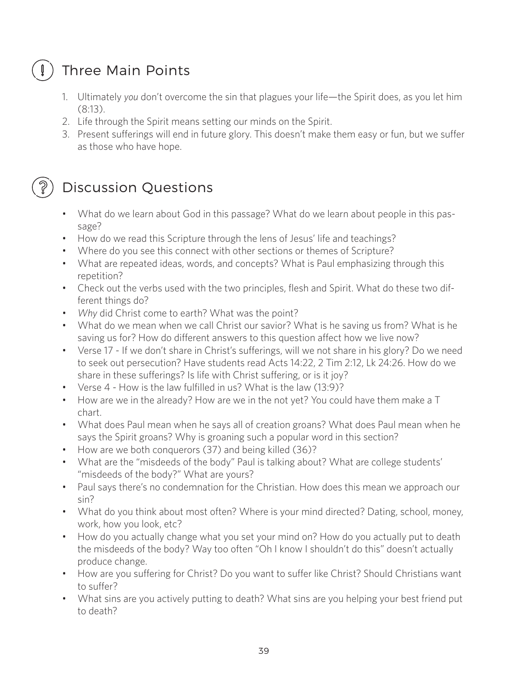## Three Main Points

- 1. Ultimately *you* don't overcome the sin that plagues your life—the Spirit does, as you let him (8:13).
- 2. Life through the Spirit means setting our minds on the Spirit.
- 3. Present sufferings will end in future glory. This doesn't make them easy or fun, but we suffer as those who have hope.

### Discussion Questions

- What do we learn about God in this passage? What do we learn about people in this passage?
- How do we read this Scripture through the lens of Jesus' life and teachings?
- Where do you see this connect with other sections or themes of Scripture?
- What are repeated ideas, words, and concepts? What is Paul emphasizing through this repetition?
- Check out the verbs used with the two principles, flesh and Spirit. What do these two different things do?
- *• Why* did Christ come to earth? What was the point?
- What do we mean when we call Christ our savior? What is he saving us from? What is he saving us for? How do different answers to this question affect how we live now?
- Verse 17 If we don't share in Christ's sufferings, will we not share in his glory? Do we need to seek out persecution? Have students read Acts 14:22, 2 Tim 2:12, Lk 24:26. How do we share in these sufferings? Is life with Christ suffering, or is it joy?
- Verse 4 How is the law fulfilled in us? What is the law (13:9)?
- How are we in the already? How are we in the not yet? You could have them make a T chart.
- What does Paul mean when he says all of creation groans? What does Paul mean when he says the Spirit groans? Why is groaning such a popular word in this section?
- How are we both conquerors (37) and being killed (36)?
- What are the "misdeeds of the body" Paul is talking about? What are college students' "misdeeds of the body?" What are yours?
- Paul says there's no condemnation for the Christian. How does this mean we approach our sin?
- What do you think about most often? Where is your mind directed? Dating, school, money, work, how you look, etc?
- How do you actually change what you set your mind on? How do you actually put to death the misdeeds of the body? Way too often "Oh I know I shouldn't do this" doesn't actually produce change.
- How are you suffering for Christ? Do you want to suffer like Christ? Should Christians want to suffer?
- What sins are you actively putting to death? What sins are you helping your best friend put to death?